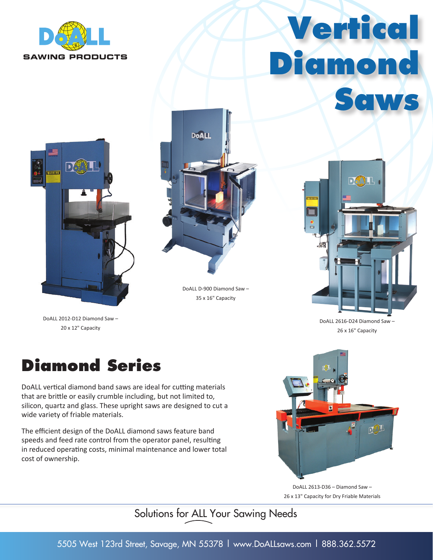

# **Vertical Diamond Saws**



DoALL 2012-D12 Diamond Saw – 20 x 12" Capacity



DoALL D-900 Diamond Saw – 35 x 16" Capacity



DoALL 2616-D24 Diamond Saw – 26 x 16" Capacity

### **Diamond Series**

DoALL vertical diamond band saws are ideal for cutting materials that are brittle or easily crumble including, but not limited to, silicon, quartz and glass. These upright saws are designed to cut a wide variety of friable materials.

The efficient design of the DoALL diamond saws feature band speeds and feed rate control from the operator panel, resulting in reduced operating costs, minimal maintenance and lower total cost of ownership.



DoALL 2613-D36 – Diamond Saw – 26 x 13" Capacity for Dry Friable Materials

Solutions for ALL Your Sawing Needs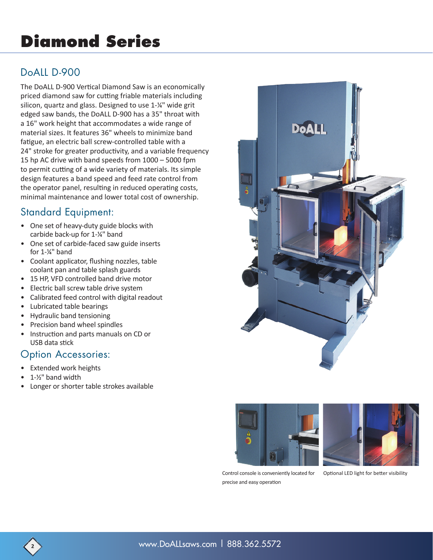## **Diamond Series**

#### DoALL D-900

The DoALL D-900 Vertical Diamond Saw is an economically priced diamond saw for cutting friable materials including silicon, quartz and glass. Designed to use 1-¼" wide grit edged saw bands, the DoALL D-900 has a 35" throat with a 16" work height that accommodates a wide range of material sizes. It features 36" wheels to minimize band fatigue, an electric ball screw-controlled table with a 24" stroke for greater productivity, and a variable frequency 15 hp AC drive with band speeds from 1000 – 5000 fpm to permit cutting of a wide variety of materials. Its simple design features a band speed and feed rate control from the operator panel, resulting in reduced operating costs, minimal maintenance and lower total cost of ownership.

#### Standard Equipment:

- One set of heavy-duty guide blocks with carbide back-up for 1-¼" band
- One set of carbide-faced saw guide inserts for 1-¼" band
- Coolant applicator, flushing nozzles, table coolant pan and table splash guards
- 15 HP, VFD controlled band drive motor
- Electric ball screw table drive system
- Calibrated feed control with digital readout
- Lubricated table bearings
- Hydraulic band tensioning
- Precision band wheel spindles
- Instruction and parts manuals on CD or USB data stick

#### Option Accessories:

- Extended work heights
- 1-1/<sub>2</sub>" band width
- Longer or shorter table strokes available







Control console is conveniently located for precise and easy operation

Optional LED light for better visibility

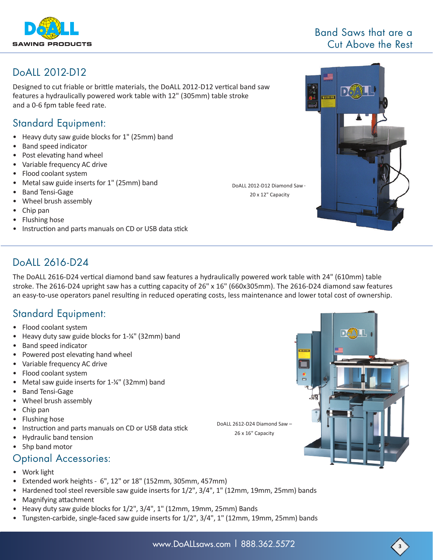

#### Band Saws that are a Cut Above the Rest

#### DoALL 2012-D12

Designed to cut friable or brittle materials, the DoALL 2012-D12 vertical band saw features a hydraulically powered work table with 12" (305mm) table stroke and a 0-6 fpm table feed rate.

#### Standard Equipment:

- Heavy duty saw guide blocks for 1" (25mm) band
- Band speed indicator
- Post elevating hand wheel
- Variable frequency AC drive
- Flood coolant system
- Metal saw guide inserts for 1" (25mm) band
- Band Tensi-Gage
- Wheel brush assembly
- Chip pan
- Flushing hose
- Instruction and parts manuals on CD or USB data stick

#### DoALL 2616-D24

The DoALL 2616-D24 vertical diamond band saw features a hydraulically powered work table with 24" (610mm) table stroke. The 2616-D24 upright saw has a cutting capacity of 26" x 16" (660x305mm). The 2616-D24 diamond saw features an easy-to-use operators panel resulting in reduced operating costs, less maintenance and lower total cost of ownership.

DoALL 2012-D12 Diamond Saw – 20 x 12" Capacity

#### Standard Equipment:

- Flood coolant system
- Heavy duty saw guide blocks for 1-¼" (32mm) band
- Band speed indicator
- Powered post elevating hand wheel
- Variable frequency AC drive
- Flood coolant system
- Metal saw guide inserts for 1-¼" (32mm) band
- Band Tensi-Gage
- Wheel brush assembly
- Chip pan
- Flushing hose
- Instruction and parts manuals on CD or USB data stick
- Hydraulic band tension
- 5hp band motor

#### Optional Accessories:

- Work light
- Extended work heights 6", 12" or 18" (152mm, 305mm, 457mm)
- Hardened tool steel reversible saw guide inserts for 1/2", 3/4", 1" (12mm, 19mm, 25mm) bands
- Magnifying attachment
- Heavy duty saw guide blocks for 1/2", 3/4", 1" (12mm, 19mm, 25mm) Bands
- Tungsten-carbide, single-faced saw guide inserts for 1/2", 3/4", 1" (12mm, 19mm, 25mm) bands





DoALL 2612-D24 Diamond Saw – 26 x 16" Capacity